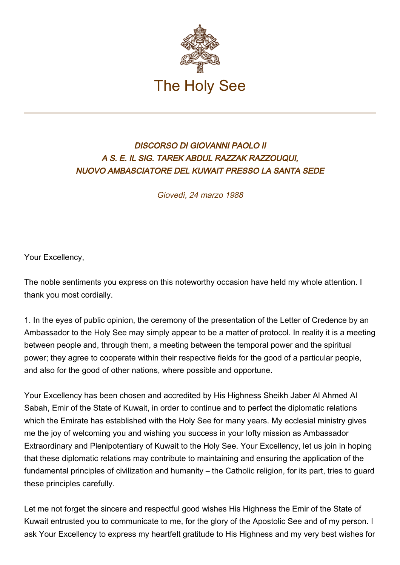

## DISCORSO DI GIOVANNI PAOLO II A S. E. IL SIG. TAREK ABDUL RAZZAK RAZZOUQUI, NUOVO AMBASCIATORE DEL KUWAIT PRESSO LA SANTA SEDE

Giovedì, 24 marzo 1988

Your Excellency,

The noble sentiments you express on this noteworthy occasion have held my whole attention. I thank you most cordially.

1. In the eyes of public opinion, the ceremony of the presentation of the Letter of Credence by an Ambassador to the Holy See may simply appear to be a matter of protocol. In reality it is a meeting between people and, through them, a meeting between the temporal power and the spiritual power; they agree to cooperate within their respective fields for the good of a particular people, and also for the good of other nations, where possible and opportune.

Your Excellency has been chosen and accredited by His Highness Sheikh Jaber Al Ahmed Al Sabah, Emir of the State of Kuwait, in order to continue and to perfect the diplomatic relations which the Emirate has established with the Holy See for many years. My ecclesial ministry gives me the joy of welcoming you and wishing you success in your lofty mission as Ambassador Extraordinary and Plenipotentiary of Kuwait to the Holy See. Your Excellency, let us join in hoping that these diplomatic relations may contribute to maintaining and ensuring the application of the fundamental principles of civilization and humanity – the Catholic religion, for its part, tries to guard these principles carefully.

Let me not forget the sincere and respectful good wishes His Highness the Emir of the State of Kuwait entrusted you to communicate to me, for the glory of the Apostolic See and of my person. I ask Your Excellency to express my heartfelt gratitude to His Highness and my very best wishes for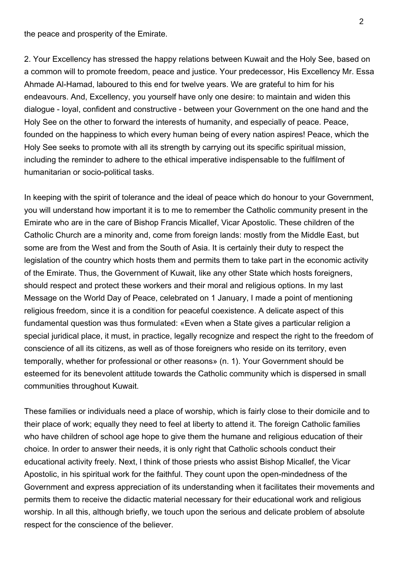the peace and prosperity of the Emirate.

2. Your Excellency has stressed the happy relations between Kuwait and the Holy See, based on a common will to promote freedom, peace and justice. Your predecessor, His Excellency Mr. Essa Ahmade Al-Hamad, laboured to this end for twelve years. We are grateful to him for his endeavours. And, Excellency, you yourself have only one desire: to maintain and widen this dialogue - loyal, confident and constructive - between your Government on the one hand and the Holy See on the other to forward the interests of humanity, and especially of peace. Peace, founded on the happiness to which every human being of every nation aspires! Peace, which the Holy See seeks to promote with all its strength by carrying out its specific spiritual mission, including the reminder to adhere to the ethical imperative indispensable to the fulfilment of humanitarian or socio-political tasks.

In keeping with the spirit of tolerance and the ideal of peace which do honour to your Government, you will understand how important it is to me to remember the Catholic community present in the Emirate who are in the care of Bishop Francis Micallef, Vicar Apostolic. These children of the Catholic Church are a minority and, come from foreign lands: mostly from the Middle East, but some are from the West and from the South of Asia. It is certainly their duty to respect the legislation of the country which hosts them and permits them to take part in the economic activity of the Emirate. Thus, the Government of Kuwait, like any other State which hosts foreigners, should respect and protect these workers and their moral and religious options. In my last Message on the World Day of Peace, celebrated on 1 January, I made a point of mentioning religious freedom, since it is a condition for peaceful coexistence. A delicate aspect of this fundamental question was thus formulated: «Even when a State gives a particular religion a special juridical place, it must, in practice, legally recognize and respect the right to the freedom of conscience of all its citizens, as well as of those foreigners who reside on its territory, even temporally, whether for professional or other reasons» (n. 1). Your Government should be esteemed for its benevolent attitude towards the Catholic community which is dispersed in small communities throughout Kuwait.

These families or individuals need a place of worship, which is fairly close to their domicile and to their place of work; equally they need to feel at liberty to attend it. The foreign Catholic families who have children of school age hope to give them the humane and religious education of their choice. In order to answer their needs, it is only right that Catholic schools conduct their educational activity freely. Next, l think of those priests who assist Bishop Micallef, the Vicar Apostolic, in his spiritual work for the faithful. They count upon the open-mindedness of the Government and express appreciation of its understanding when it facilitates their movements and permits them to receive the didactic material necessary for their educational work and religious worship. In all this, although briefly, we touch upon the serious and delicate problem of absolute respect for the conscience of the believer.